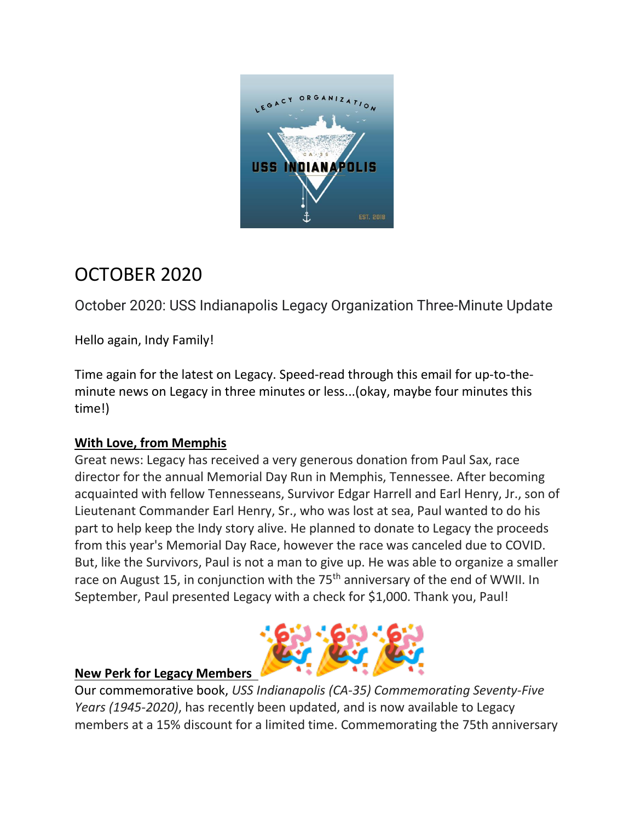

# OCTOBER 2020

October 2020: USS Indianapolis Legacy Organization Three-Minute Update

Hello again, Indy Family!

Time again for the latest on Legacy. Speed-read through this email for up-to-theminute news on Legacy in three minutes or less...(okay, maybe four minutes this time!)

## **With Love, from Memphis**

Great news: Legacy has received a very generous donation from Paul Sax, race director for the annual Memorial Day Run in Memphis, Tennessee. After becoming acquainted with fellow Tennesseans, Survivor Edgar Harrell and Earl Henry, Jr., son of Lieutenant Commander Earl Henry, Sr., who was lost at sea, Paul wanted to do his part to help keep the Indy story alive. He planned to donate to Legacy the proceeds from this year's Memorial Day Race, however the race was canceled due to COVID. But, like the Survivors, Paul is not a man to give up. He was able to organize a smaller race on August 15, in conjunction with the 75<sup>th</sup> anniversary of the end of WWII. In September, Paul presented Legacy with a check for \$1,000. Thank you, Paul!



### **New Perk for Legacy Members**

Our commemorative book, *USS Indianapolis (CA-35) Commemorating Seventy-Five Years (1945-2020)*, has recently been updated, and is now available to Legacy members at a 15% discount for a limited time. Commemorating the 75th anniversary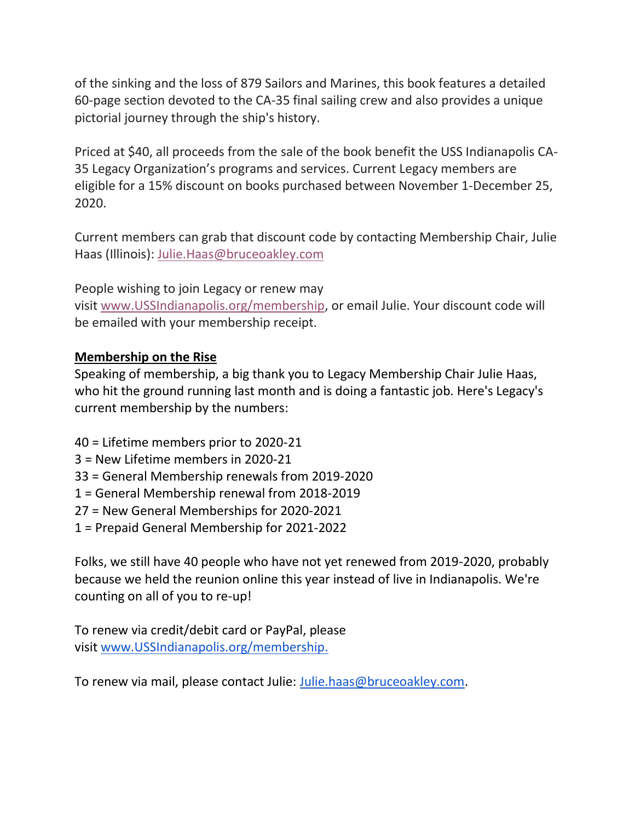of the sinking and the loss of 879 Sailors and Marines, this book features a detailed 60-page section devoted to the CA-35 final sailing crew and also provides a unique pictorial journey through the ship's history.

Priced at \$40, all proceeds from the sale of the book benefit the USS Indianapolis CA-35 Legacy Organization's programs and services. Current Legacy members are eligible for a 15% discount on books purchased between November 1-December 25, 2020.

Current members can grab that discount code by contacting Membership Chair, Julie Haas (Illinois): [Julie.Haas@bruceoakley.com](mailto:Julie.Haas@bruceoakley.com)

People wishing to join Legacy or renew may visit [www.USSIndianapolis.org/membership,](http://www.ussindianapolis.org/membership) or email Julie. Your discount code will be emailed with your membership receipt.

## **Membership on the Rise**

Speaking of membership, a big thank you to Legacy Membership Chair Julie Haas, who hit the ground running last month and is doing a fantastic job. Here's Legacy's current membership by the numbers:

- 40 = Lifetime members prior to 2020-21
- 3 = New Lifetime members in 2020-21
- 33 = General Membership renewals from 2019-2020
- 1 = General Membership renewal from 2018-2019
- 27 = New General Memberships for 2020-2021
- 1 = Prepaid General Membership for 2021-2022

Folks, we still have 40 people who have not yet renewed from 2019-2020, probably because we held the reunion online this year instead of live in Indianapolis. We're counting on all of you to re-up!

To renew via credit/debit card or PayPal, please visit [www.USSIndianapolis.org/membership.](http://www.ussindianapolis.org/membership.)

To renew via mail, please contact Julie: [Julie.haas@bruceoakley.com.](mailto:Julie.haas@bruceoakley.com)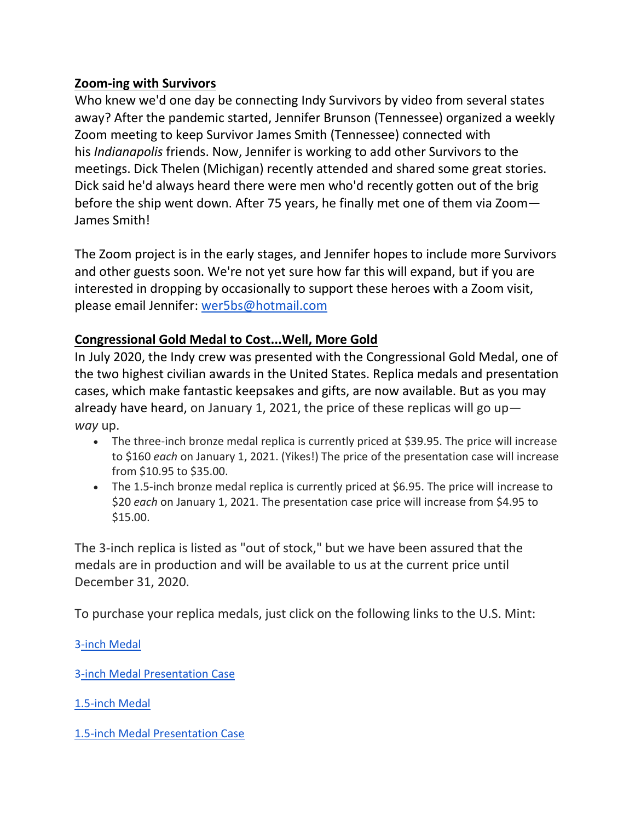## **Zoom-ing with Survivors**

Who knew we'd one day be connecting Indy Survivors by video from several states away? After the pandemic started, Jennifer Brunson (Tennessee) organized a weekly Zoom meeting to keep Survivor James Smith (Tennessee) connected with his *Indianapolis* friends. Now, Jennifer is working to add other Survivors to the meetings. Dick Thelen (Michigan) recently attended and shared some great stories. Dick said he'd always heard there were men who'd recently gotten out of the brig before the ship went down. After 75 years, he finally met one of them via Zoom— James Smith!

The Zoom project is in the early stages, and Jennifer hopes to include more Survivors and other guests soon. We're not yet sure how far this will expand, but if you are interested in dropping by occasionally to support these heroes with a Zoom visit, please email Jennifer: [wer5bs@hotmail.com](mailto:wer5bs@hotmail.com)

## **Congressional Gold Medal to Cost...Well, More Gold**

In July 2020, the Indy crew was presented with the Congressional Gold Medal, one of the two highest civilian awards in the United States. Replica medals and presentation cases, which make fantastic keepsakes and gifts, are now available. But as you may already have heard, on January 1, 2021, the price of these replicas will go up*way* up.

- The three-inch bronze medal replica is currently priced at \$39.95. The price will increase to \$160 *each* on January 1, 2021. (Yikes!) The price of the presentation case will increase from \$10.95 to \$35.00.
- The 1.5-inch bronze medal replica is currently priced at \$6.95. The price will increase to \$20 *each* on January 1, 2021. The presentation case price will increase from \$4.95 to \$15.00.

The 3-inch replica is listed as "out of stock," but we have been assured that the medals are in production and will be available to us at the current price until December 31, 2020.

To purchase your replica medals, just click on the following links to the U.S. Mint:

[3-inch Medal](https://catalog.usmint.gov/uss-indianapolis-ca-35-bronze-medal-3-inch-19MK.html?cgid=military#start=1)

[3-inch Medal Presentation Case](https://catalog.usmint.gov/deluxe-black-presentation-case-for-3-inch-medal-052.html)

[1.5-inch Medal](https://catalog.usmint.gov/uss-indianapolis-ca-35-bronze-medal-1.5-inch-19MJ.html?cgid=military#start=1)

[1.5-inch Medal Presentation Case](https://catalog.usmint.gov/black-presentation-case-for-one-and-one-half-inch-bronze-medal-027.html)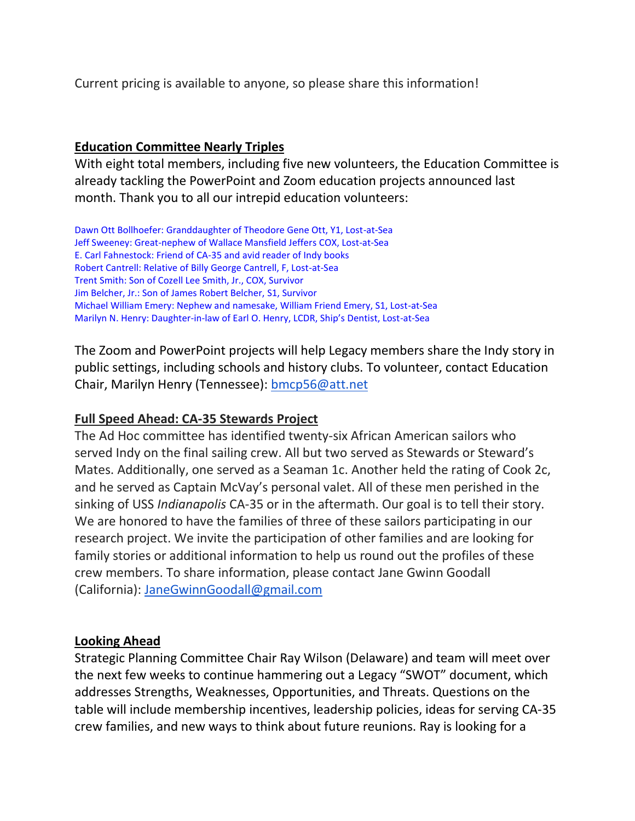Current pricing is available to anyone, so please share this information!

## **Education Committee Nearly Triples**

With eight total members, including five new volunteers, the Education Committee is already tackling the PowerPoint and Zoom education projects announced last month. Thank you to all our intrepid education volunteers:

Dawn Ott Bollhoefer: Granddaughter of Theodore Gene Ott, Y1, Lost-at-Sea Jeff Sweeney: Great-nephew of Wallace Mansfield Jeffers COX, Lost-at-Sea E. Carl Fahnestock: Friend of CA-35 and avid reader of Indy books Robert Cantrell: Relative of Billy George Cantrell, F, Lost-at-Sea Trent Smith: Son of Cozell Lee Smith, Jr., COX, Survivor Jim Belcher, Jr.: Son of James Robert Belcher, S1, Survivor Michael William Emery: Nephew and namesake, William Friend Emery, S1, Lost-at-Sea Marilyn N. Henry: Daughter-in-law of Earl O. Henry, LCDR, Ship's Dentist, Lost-at-Sea

The Zoom and PowerPoint projects will help Legacy members share the Indy story in public settings, including schools and history clubs. To volunteer, contact Education Chair, Marilyn Henry (Tennessee): [bmcp56@att.net](mailto:bmcp56@att.net)

### **Full Speed Ahead: CA-35 Stewards Project**

The Ad Hoc committee has identified twenty-six African American sailors who served Indy on the final sailing crew. All but two served as Stewards or Steward's Mates. Additionally, one served as a Seaman 1c. Another held the rating of Cook 2c, and he served as Captain McVay's personal valet. All of these men perished in the sinking of USS *Indianapolis* CA-35 or in the aftermath. Our goal is to tell their story. We are honored to have the families of three of these sailors participating in our research project. We invite the participation of other families and are looking for family stories or additional information to help us round out the profiles of these crew members. To share information, please contact Jane Gwinn Goodall (California): [JaneGwinnGoodall@gmail.com](mailto:JaneGwinnGoodall@gmail.com)

### **Looking Ahead**

Strategic Planning Committee Chair Ray Wilson (Delaware) and team will meet over the next few weeks to continue hammering out a Legacy "SWOT" document, which addresses Strengths, Weaknesses, Opportunities, and Threats. Questions on the table will include membership incentives, leadership policies, ideas for serving CA-35 crew families, and new ways to think about future reunions. Ray is looking for a